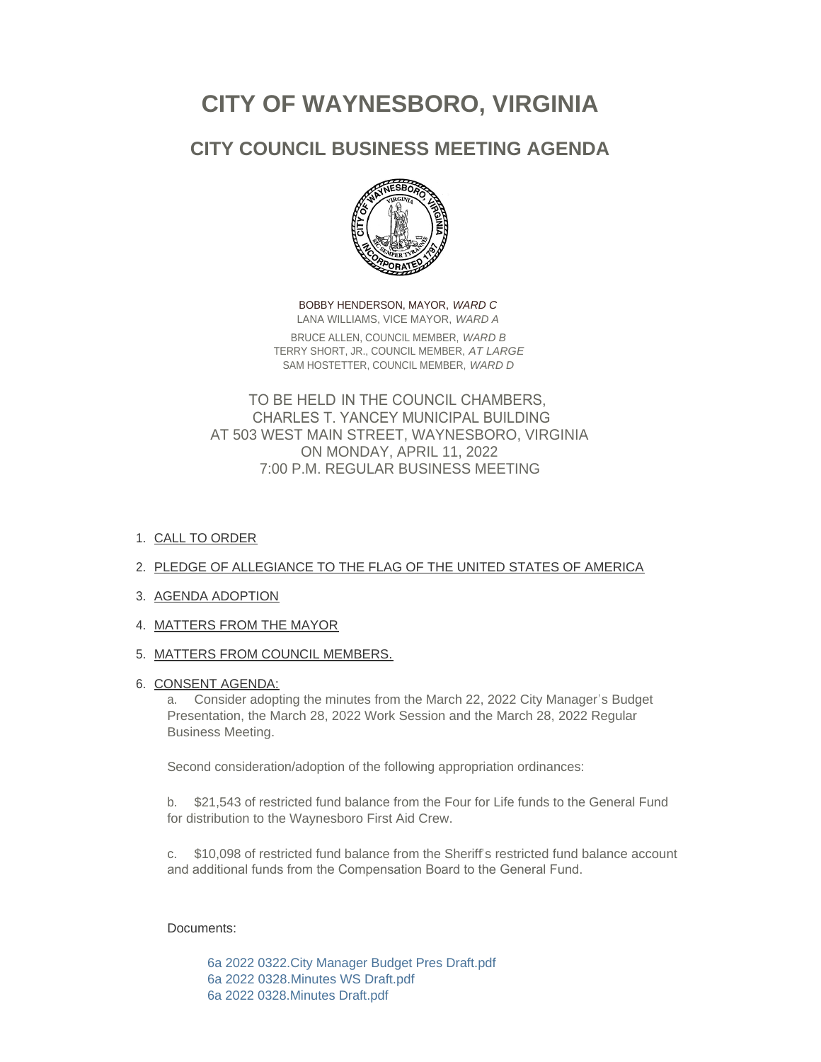# **CITY OF WAYNESBORO, VIRGINIA**

# **CITY COUNCIL BUSINESS MEETING AGENDA**



BOBBY HENDERSON, MAYOR, *WARD C* LANA WILLIAMS, VICE MAYOR, *WARD A* BRUCE ALLEN, COUNCIL MEMBER, *WARD B* TERRY SHORT, JR., COUNCIL MEMBER, *AT LARGE* SAM HOSTETTER, COUNCIL MEMBER, *WARD D*

TO BE HELD IN THE COUNCIL CHAMBERS, CHARLES T. YANCEY MUNICIPAL BUILDING AT 503 WEST MAIN STREET, WAYNESBORO, VIRGINIA ON MONDAY, APRIL 11, 2022 7:00 P.M. REGULAR BUSINESS MEETING

1. <u>CALL TO ORDER</u>

## 2. PLEDGE OF ALLEGIANCE TO THE FLAG OF THE UNITED STATES OF AMERICA

- 3. AGENDA ADOPTION
- 4. MATTERS FROM THE MAYOR

### 5. <u>MATTERS FROM COUNCIL MEMBERS.</u>

#### 6. <u>CONSENT AGENDA:</u>

a. Consider adopting the minutes from the March 22, 2022 City Manager's Budget Presentation, the March 28, 2022 Work Session and the March 28, 2022 Regular Business Meeting.

Second consideration/adoption of the following appropriation ordinances:

b. \$21,543 of restricted fund balance from the Four for Life funds to the General Fund for distribution to the Waynesboro First Aid Crew.

c. \$10,098 of restricted fund balance from the Sheriff's restricted fund balance account and additional funds from the Compensation Board to the General Fund.

#### Documents:

[6a 2022 0322.City Manager Budget Pres Draft.pdf](https://www.waynesboro.va.us/AgendaCenter/ViewFile/Item/4650?fileID=44457) [6a 2022 0328.Minutes WS Draft.pdf](https://www.waynesboro.va.us/AgendaCenter/ViewFile/Item/4650?fileID=44459) [6a 2022 0328.Minutes Draft.pdf](https://www.waynesboro.va.us/AgendaCenter/ViewFile/Item/4650?fileID=44458)